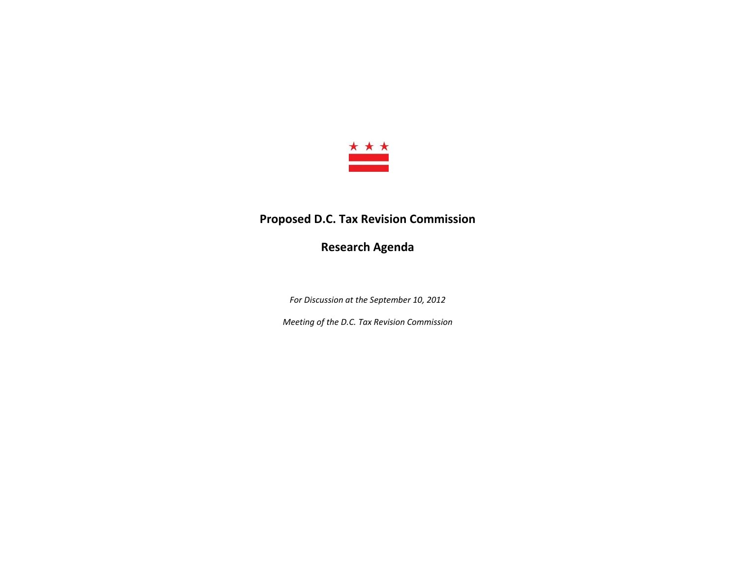

## **Proposed D.C. Tax Revision Commission**

**Research Agenda**

*For Discussion at the September 10, 2012*

*Meeting of the D.C. Tax Revision Commission*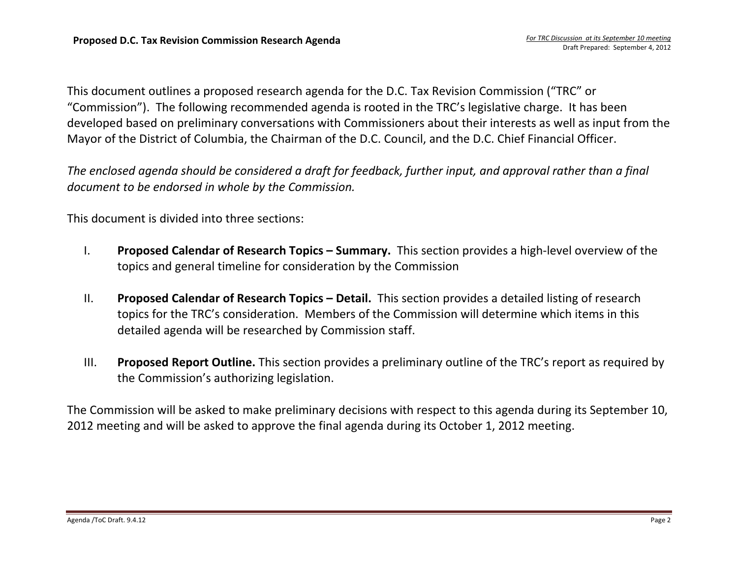This document outlines <sup>a</sup> proposed research agenda for the D.C. Tax Revision Commission ("TRC" or "Commission"). The following recommended agenda is rooted in the TRC's legislative charge. It has been developed based on preliminary conversations with Commissioners about their interests as well as input from the Mayor of the District of Columbia, the Chairman of the D.C. Council, and the D.C. Chief Financial Officer.

The enclosed agenda should be considered a draft for feedback, further input, and approval rather than a final *document to be endorsed in whole by the Commission.*

This document is divided into three sections:

- I. **Proposed Calendar of Research Topics – Summary.** This section provides <sup>a</sup> high‐level overview of the topics and general timeline for consideration by the Commission
- II. **Proposed Calendar of Research Topics – Detail.** This section provides <sup>a</sup> detailed listing of research topics for the TRC's consideration. Members of the Commission will determine which items in this detailed agenda will be researched by Commission staff.
- III. **Proposed Report Outline.** This section provides <sup>a</sup> preliminary outline of the TRC's report as required by the Commission's authorizing legislation.

The Commission will be asked to make preliminary decisions with respect to this agenda during its September 10, 2012 meeting and will be asked to approve the final agenda during its October 1, 2012 meeting.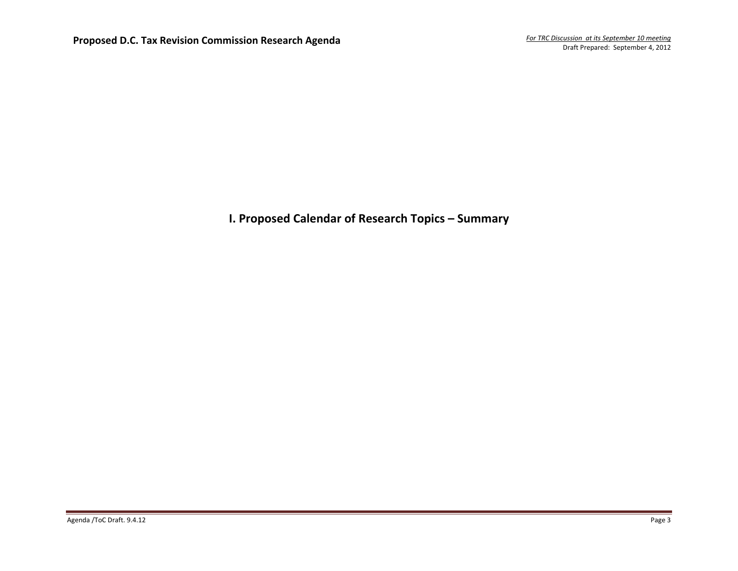## **I. Proposed Calendar of Research Topics – Summary**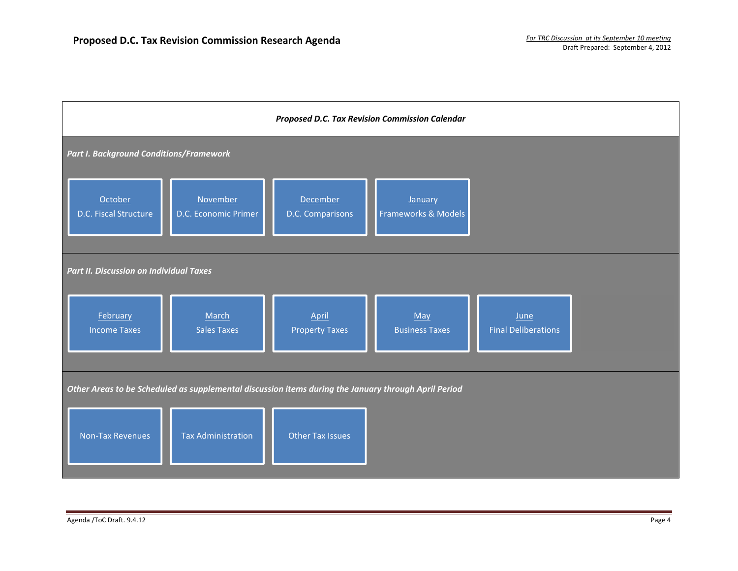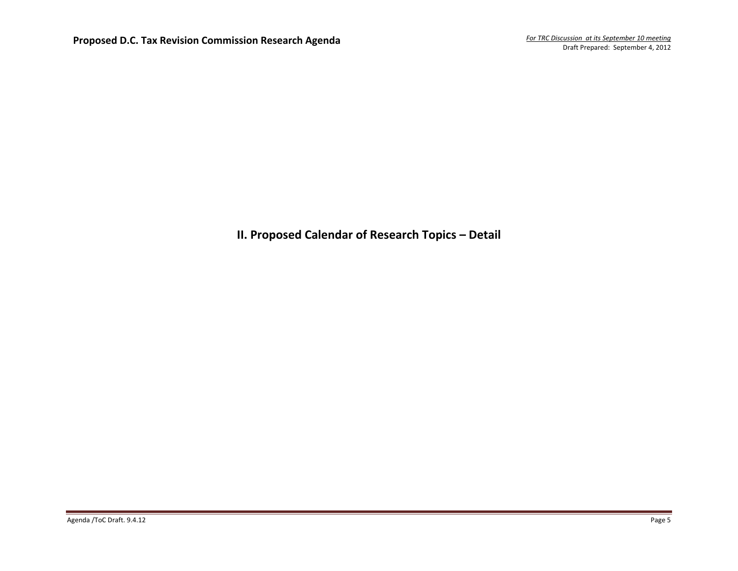**II. Proposed Calendar of Research Topics – Detail**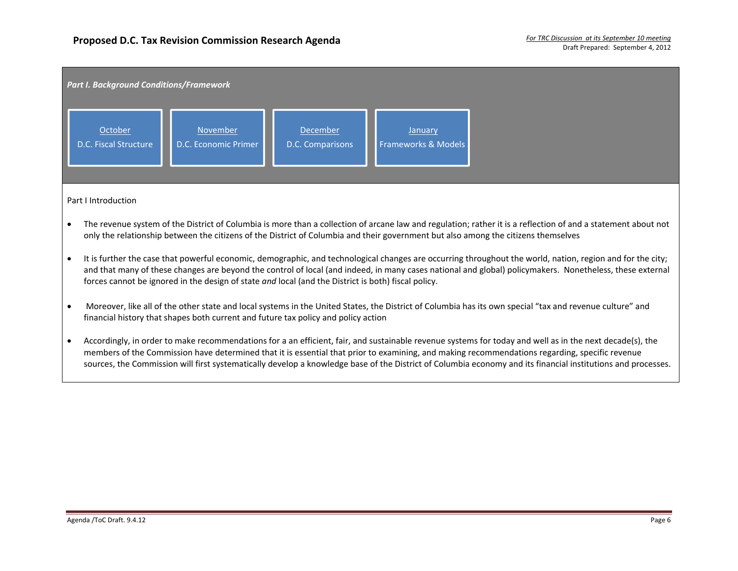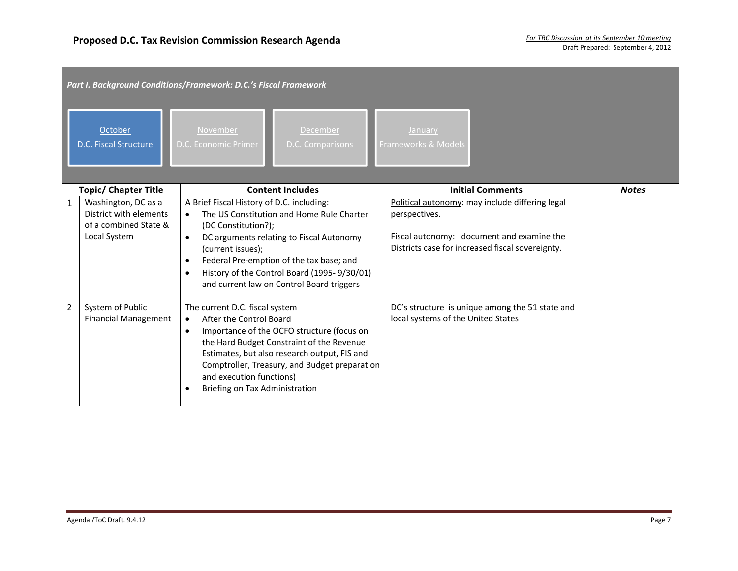|                | Part I. Background Conditions/Framework: D.C.'s Fiscal Framework                       |                                                                                                                                                                                                                                                                                                                                               |                                                                                                                                                                   |              |  |  |  |
|----------------|----------------------------------------------------------------------------------------|-----------------------------------------------------------------------------------------------------------------------------------------------------------------------------------------------------------------------------------------------------------------------------------------------------------------------------------------------|-------------------------------------------------------------------------------------------------------------------------------------------------------------------|--------------|--|--|--|
|                | October<br>D.C. Fiscal Structure                                                       | November<br>December<br>D.C. Economic Primer<br><b>D.C.</b> Comparisons                                                                                                                                                                                                                                                                       | <b>January</b><br>Frameworks & Models                                                                                                                             |              |  |  |  |
|                | <b>Topic/ Chapter Title</b>                                                            | <b>Content Includes</b>                                                                                                                                                                                                                                                                                                                       | <b>Initial Comments</b>                                                                                                                                           | <b>Notes</b> |  |  |  |
| $\mathbf{1}$   | Washington, DC as a<br>District with elements<br>of a combined State &<br>Local System | A Brief Fiscal History of D.C. including:<br>The US Constitution and Home Rule Charter<br>(DC Constitution?);<br>DC arguments relating to Fiscal Autonomy<br>(current issues);<br>Federal Pre-emption of the tax base; and<br>History of the Control Board (1995-9/30/01)<br>and current law on Control Board triggers                        | Political autonomy: may include differing legal<br>perspectives.<br>Fiscal autonomy: document and examine the<br>Districts case for increased fiscal sovereignty. |              |  |  |  |
| $\overline{2}$ | System of Public<br><b>Financial Management</b>                                        | The current D.C. fiscal system<br>After the Control Board<br>$\bullet$<br>Importance of the OCFO structure (focus on<br>$\bullet$<br>the Hard Budget Constraint of the Revenue<br>Estimates, but also research output, FIS and<br>Comptroller, Treasury, and Budget preparation<br>and execution functions)<br>Briefing on Tax Administration | DC's structure is unique among the 51 state and<br>local systems of the United States                                                                             |              |  |  |  |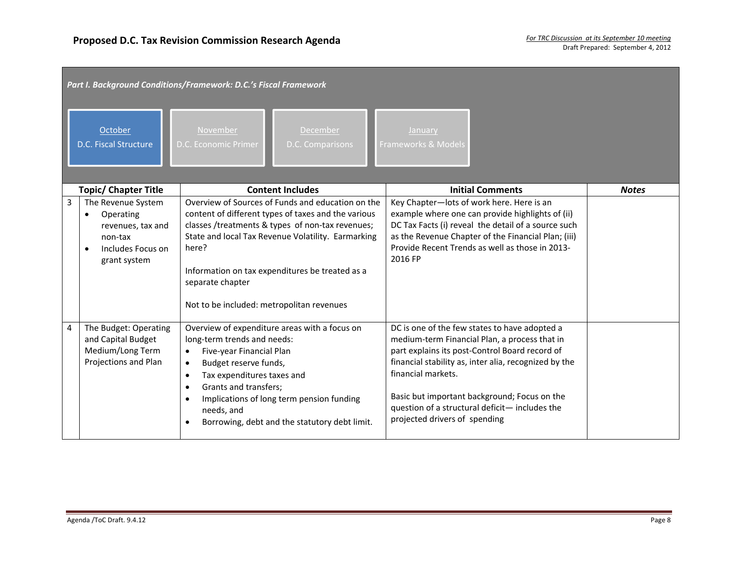|   | Part I. Background Conditions/Framework: D.C.'s Fiscal Framework                                     |                                                                                                                                                                                                                                                                                                                                                                                    |                                                                                                                                                                                                                                                                                                                                                                    |              |  |  |  |
|---|------------------------------------------------------------------------------------------------------|------------------------------------------------------------------------------------------------------------------------------------------------------------------------------------------------------------------------------------------------------------------------------------------------------------------------------------------------------------------------------------|--------------------------------------------------------------------------------------------------------------------------------------------------------------------------------------------------------------------------------------------------------------------------------------------------------------------------------------------------------------------|--------------|--|--|--|
|   | October<br>D.C. Fiscal Structure                                                                     | November<br>December<br>D.C. Economic Primer<br>D.C. Comparisons                                                                                                                                                                                                                                                                                                                   | January<br>Frameworks & Models                                                                                                                                                                                                                                                                                                                                     |              |  |  |  |
|   | <b>Topic/ Chapter Title</b>                                                                          | <b>Content Includes</b>                                                                                                                                                                                                                                                                                                                                                            | <b>Initial Comments</b>                                                                                                                                                                                                                                                                                                                                            | <b>Notes</b> |  |  |  |
| 3 | The Revenue System<br>Operating<br>revenues, tax and<br>non-tax<br>Includes Focus on<br>grant system | Overview of Sources of Funds and education on the<br>content of different types of taxes and the various<br>classes /treatments & types of non-tax revenues;<br>State and local Tax Revenue Volatility. Earmarking<br>here?<br>Information on tax expenditures be treated as a<br>separate chapter<br>Not to be included: metropolitan revenues                                    | Key Chapter-lots of work here. Here is an<br>example where one can provide highlights of (ii)<br>DC Tax Facts (i) reveal the detail of a source such<br>as the Revenue Chapter of the Financial Plan; (iii)<br>Provide Recent Trends as well as those in 2013-<br>2016 FP                                                                                          |              |  |  |  |
| 4 | The Budget: Operating<br>and Capital Budget<br>Medium/Long Term<br>Projections and Plan              | Overview of expenditure areas with a focus on<br>long-term trends and needs:<br>Five-year Financial Plan<br>$\bullet$<br>Budget reserve funds,<br>$\bullet$<br>Tax expenditures taxes and<br>$\bullet$<br>Grants and transfers;<br>$\bullet$<br>Implications of long term pension funding<br>$\bullet$<br>needs, and<br>Borrowing, debt and the statutory debt limit.<br>$\bullet$ | DC is one of the few states to have adopted a<br>medium-term Financial Plan, a process that in<br>part explains its post-Control Board record of<br>financial stability as, inter alia, recognized by the<br>financial markets.<br>Basic but important background; Focus on the<br>question of a structural deficit- includes the<br>projected drivers of spending |              |  |  |  |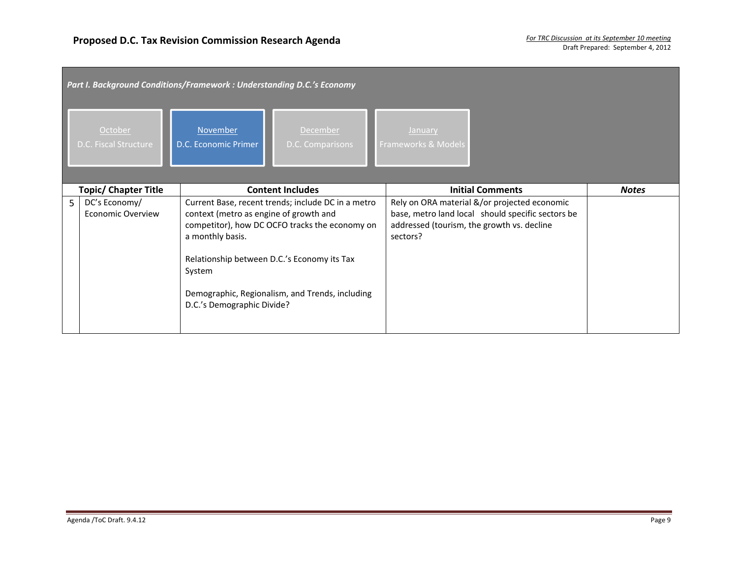|   | Part I. Background Conditions/Framework : Understanding D.C.'s Economy |                                                                                                                                                   |                                                                                                                                                         |                                                                                                                                                             |              |  |  |  |
|---|------------------------------------------------------------------------|---------------------------------------------------------------------------------------------------------------------------------------------------|---------------------------------------------------------------------------------------------------------------------------------------------------------|-------------------------------------------------------------------------------------------------------------------------------------------------------------|--------------|--|--|--|
|   | October<br>D.C. Fiscal Structure                                       | November<br>D.C. Economic Primer                                                                                                                  | December<br>D.C. Comparisons                                                                                                                            | <b>January</b><br>Frameworks & Models                                                                                                                       |              |  |  |  |
|   | <b>Topic/ Chapter Title</b>                                            |                                                                                                                                                   | <b>Content Includes</b>                                                                                                                                 | <b>Initial Comments</b>                                                                                                                                     | <b>Notes</b> |  |  |  |
| 5 | DC's Economy/<br><b>Economic Overview</b>                              | context (metro as engine of growth and<br>a monthly basis.<br>Relationship between D.C.'s Economy its Tax<br>System<br>D.C.'s Demographic Divide? | Current Base, recent trends; include DC in a metro<br>competitor), how DC OCFO tracks the economy on<br>Demographic, Regionalism, and Trends, including | Rely on ORA material &/or projected economic<br>base, metro land local should specific sectors be<br>addressed (tourism, the growth vs. decline<br>sectors? |              |  |  |  |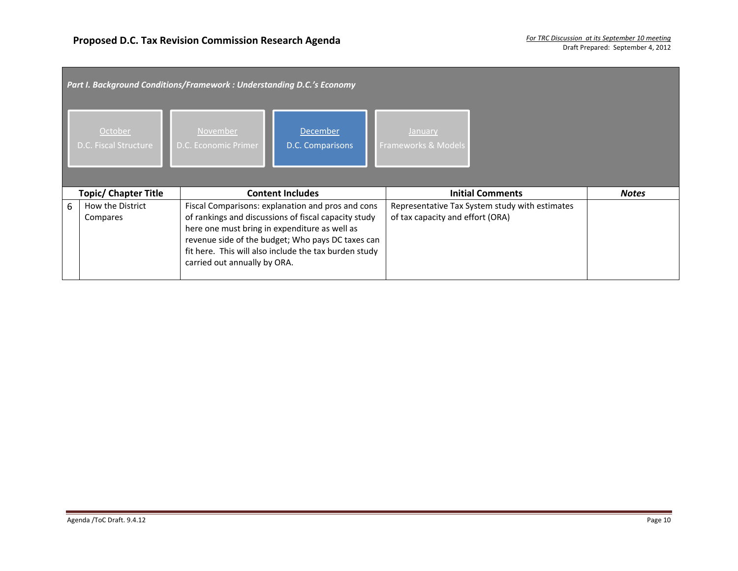|   | Part I. Background Conditions/Framework : Understanding D.C.'s Economy |                                                                               |                                                                                                                                                                                                                         |                                  |                                                |              |  |  |
|---|------------------------------------------------------------------------|-------------------------------------------------------------------------------|-------------------------------------------------------------------------------------------------------------------------------------------------------------------------------------------------------------------------|----------------------------------|------------------------------------------------|--------------|--|--|
|   | October<br><b>D.C. Fiscal Structure</b>                                | November<br>D.C. Economic Primer                                              | <b>December</b><br>D.C. Comparisons                                                                                                                                                                                     | January<br>Frameworks & Models   |                                                |              |  |  |
|   | <b>Topic/ Chapter Title</b>                                            |                                                                               | <b>Content Includes</b>                                                                                                                                                                                                 |                                  | <b>Initial Comments</b>                        | <b>Notes</b> |  |  |
| 6 | How the District<br>Compares                                           | here one must bring in expenditure as well as<br>carried out annually by ORA. | Fiscal Comparisons: explanation and pros and cons<br>of rankings and discussions of fiscal capacity study<br>revenue side of the budget; Who pays DC taxes can<br>fit here. This will also include the tax burden study | of tax capacity and effort (ORA) | Representative Tax System study with estimates |              |  |  |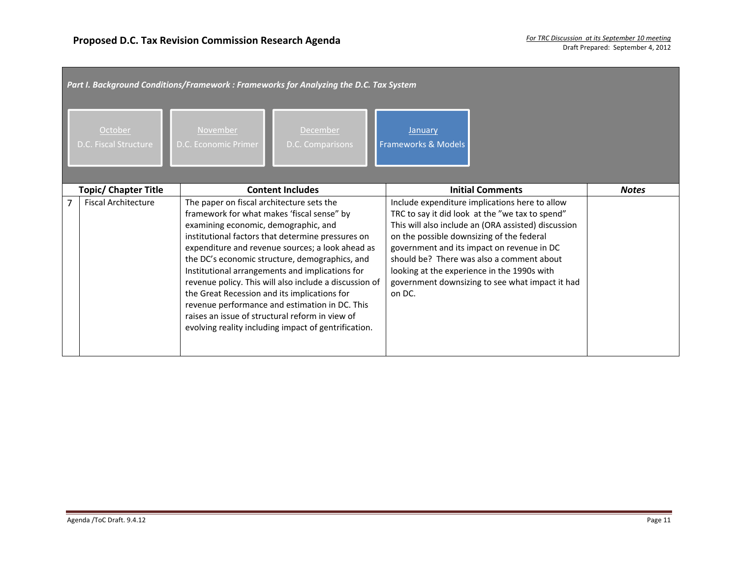|   | October<br>D.C. Fiscal Structure | November<br>D.C. Economic Primer                                                  | Part I. Background Conditions/Framework : Frameworks for Analyzing the D.C. Tax System<br><b>December</b><br>D.C. Comparisons                                                                                                                                                                                                                                                                                                                                                                                                   | January<br>Frameworks & Models                                                                                                                                                                                                                                                                                                                                                                               |              |  |
|---|----------------------------------|-----------------------------------------------------------------------------------|---------------------------------------------------------------------------------------------------------------------------------------------------------------------------------------------------------------------------------------------------------------------------------------------------------------------------------------------------------------------------------------------------------------------------------------------------------------------------------------------------------------------------------|--------------------------------------------------------------------------------------------------------------------------------------------------------------------------------------------------------------------------------------------------------------------------------------------------------------------------------------------------------------------------------------------------------------|--------------|--|
|   | <b>Topic/ Chapter Title</b>      |                                                                                   | <b>Content Includes</b>                                                                                                                                                                                                                                                                                                                                                                                                                                                                                                         | <b>Initial Comments</b>                                                                                                                                                                                                                                                                                                                                                                                      | <b>Notes</b> |  |
| 7 | <b>Fiscal Architecture</b>       | The paper on fiscal architecture sets the<br>examining economic, demographic, and | framework for what makes 'fiscal sense" by<br>institutional factors that determine pressures on<br>expenditure and revenue sources; a look ahead as<br>the DC's economic structure, demographics, and<br>Institutional arrangements and implications for<br>revenue policy. This will also include a discussion of<br>the Great Recession and its implications for<br>revenue performance and estimation in DC. This<br>raises an issue of structural reform in view of<br>evolving reality including impact of gentrification. | Include expenditure implications here to allow<br>TRC to say it did look at the "we tax to spend"<br>This will also include an (ORA assisted) discussion<br>on the possible downsizing of the federal<br>government and its impact on revenue in DC<br>should be? There was also a comment about<br>looking at the experience in the 1990s with<br>government downsizing to see what impact it had<br>on DC. |              |  |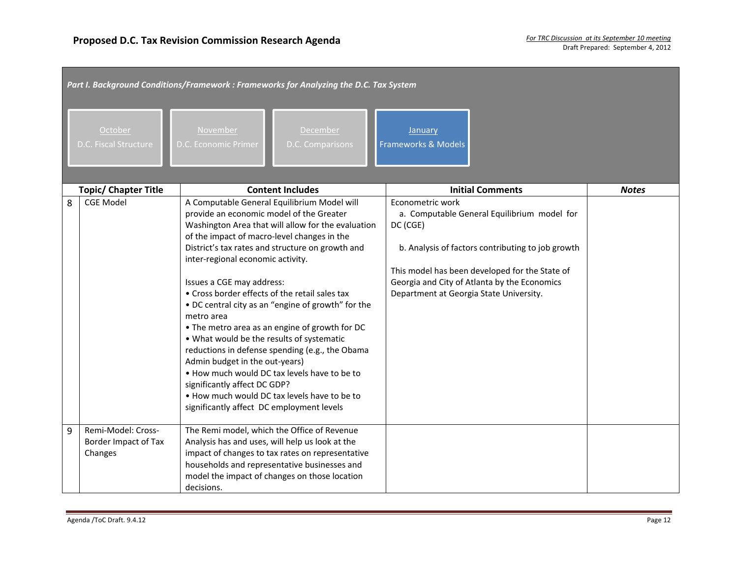|   | Part I. Background Conditions/Framework : Frameworks for Analyzing the D.C. Tax System |                                                                                                                                                                                                                                                                                                                                                                                                                                                                                                                                                                                                                                                                                                                                                                                                           |                                                                                                                                                                                                                                                                               |              |  |  |  |
|---|----------------------------------------------------------------------------------------|-----------------------------------------------------------------------------------------------------------------------------------------------------------------------------------------------------------------------------------------------------------------------------------------------------------------------------------------------------------------------------------------------------------------------------------------------------------------------------------------------------------------------------------------------------------------------------------------------------------------------------------------------------------------------------------------------------------------------------------------------------------------------------------------------------------|-------------------------------------------------------------------------------------------------------------------------------------------------------------------------------------------------------------------------------------------------------------------------------|--------------|--|--|--|
|   | October<br>D.C. Fiscal Structure                                                       | November<br>December<br>D.C. Economic Primer<br>D.C. Comparisons                                                                                                                                                                                                                                                                                                                                                                                                                                                                                                                                                                                                                                                                                                                                          | January<br><b>Frameworks &amp; Models</b>                                                                                                                                                                                                                                     |              |  |  |  |
|   | <b>Topic/ Chapter Title</b>                                                            | <b>Content Includes</b>                                                                                                                                                                                                                                                                                                                                                                                                                                                                                                                                                                                                                                                                                                                                                                                   | <b>Initial Comments</b>                                                                                                                                                                                                                                                       | <b>Notes</b> |  |  |  |
| 8 | <b>CGE Model</b>                                                                       | A Computable General Equilibrium Model will<br>provide an economic model of the Greater<br>Washington Area that will allow for the evaluation<br>of the impact of macro-level changes in the<br>District's tax rates and structure on growth and<br>inter-regional economic activity.<br>Issues a CGE may address:<br>• Cross border effects of the retail sales tax<br>. DC central city as an "engine of growth" for the<br>metro area<br>• The metro area as an engine of growth for DC<br>. What would be the results of systematic<br>reductions in defense spending (e.g., the Obama<br>Admin budget in the out-years)<br>. How much would DC tax levels have to be to<br>significantly affect DC GDP?<br>. How much would DC tax levels have to be to<br>significantly affect DC employment levels | Econometric work<br>a. Computable General Equilibrium model for<br>DC (CGE)<br>b. Analysis of factors contributing to job growth<br>This model has been developed for the State of<br>Georgia and City of Atlanta by the Economics<br>Department at Georgia State University. |              |  |  |  |
| 9 | Remi-Model: Cross-<br>Border Impact of Tax<br>Changes                                  | The Remi model, which the Office of Revenue<br>Analysis has and uses, will help us look at the<br>impact of changes to tax rates on representative<br>households and representative businesses and<br>model the impact of changes on those location<br>decisions.                                                                                                                                                                                                                                                                                                                                                                                                                                                                                                                                         |                                                                                                                                                                                                                                                                               |              |  |  |  |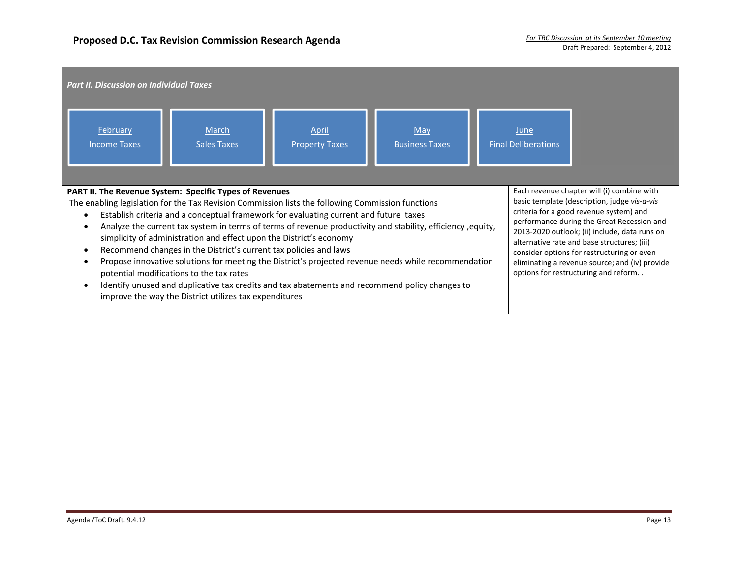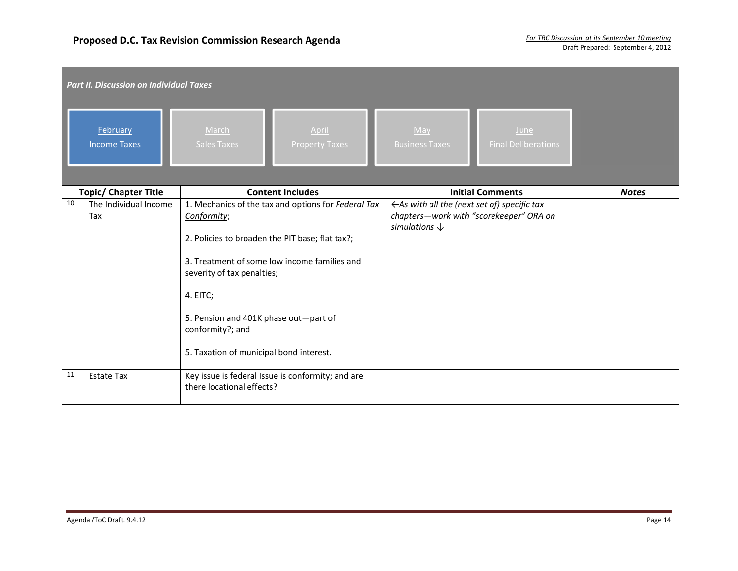|    | <b>Part II. Discussion on Individual Taxes</b> |                                                                                |                                                         |                                    |              |  |  |  |
|----|------------------------------------------------|--------------------------------------------------------------------------------|---------------------------------------------------------|------------------------------------|--------------|--|--|--|
|    | February<br><b>Income Taxes</b>                | March<br>April<br><b>Sales Taxes</b><br><b>Property Taxes</b>                  | May<br><b>Business Taxes</b>                            | June<br><b>Final Deliberations</b> |              |  |  |  |
|    | <b>Topic/ Chapter Title</b>                    | <b>Content Includes</b>                                                        |                                                         | <b>Initial Comments</b>            | <b>Notes</b> |  |  |  |
| 10 | The Individual Income                          | 1. Mechanics of the tax and options for <b>Federal Tax</b>                     | $\leftarrow$ As with all the (next set of) specific tax |                                    |              |  |  |  |
|    | Tax                                            | Conformity;                                                                    | chapters-work with "scorekeeper" ORA on                 |                                    |              |  |  |  |
|    |                                                | 2. Policies to broaden the PIT base; flat tax?;                                | simulations $\downarrow$                                |                                    |              |  |  |  |
|    |                                                | 3. Treatment of some low income families and                                   |                                                         |                                    |              |  |  |  |
|    |                                                | severity of tax penalties;                                                     |                                                         |                                    |              |  |  |  |
|    |                                                | 4. EITC;                                                                       |                                                         |                                    |              |  |  |  |
|    |                                                | 5. Pension and 401K phase out-part of<br>conformity?; and                      |                                                         |                                    |              |  |  |  |
|    |                                                | 5. Taxation of municipal bond interest.                                        |                                                         |                                    |              |  |  |  |
| 11 | <b>Estate Tax</b>                              | Key issue is federal Issue is conformity; and are<br>there locational effects? |                                                         |                                    |              |  |  |  |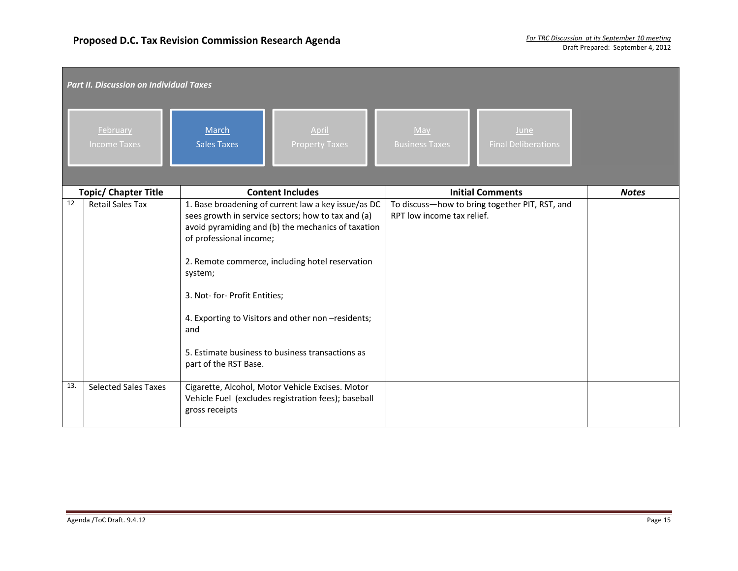|     | <b>Part II. Discussion on Individual Taxes</b> |                                                                                                                                                                                                                                                                                                                                                                                                                                     |                                                                              |              |  |  |  |  |
|-----|------------------------------------------------|-------------------------------------------------------------------------------------------------------------------------------------------------------------------------------------------------------------------------------------------------------------------------------------------------------------------------------------------------------------------------------------------------------------------------------------|------------------------------------------------------------------------------|--------------|--|--|--|--|
|     | February<br><b>Income Taxes</b>                | April<br>March<br><b>Sales Taxes</b><br><b>Property Taxes</b>                                                                                                                                                                                                                                                                                                                                                                       | May<br>June<br><b>Final Deliberations</b><br><b>Business Taxes</b>           |              |  |  |  |  |
|     | <b>Topic/ Chapter Title</b>                    | <b>Content Includes</b>                                                                                                                                                                                                                                                                                                                                                                                                             | <b>Initial Comments</b>                                                      | <b>Notes</b> |  |  |  |  |
| 12  | <b>Retail Sales Tax</b>                        | 1. Base broadening of current law a key issue/as DC<br>sees growth in service sectors; how to tax and (a)<br>avoid pyramiding and (b) the mechanics of taxation<br>of professional income;<br>2. Remote commerce, including hotel reservation<br>system;<br>3. Not- for- Profit Entities;<br>4. Exporting to Visitors and other non -residents;<br>and<br>5. Estimate business to business transactions as<br>part of the RST Base. | To discuss-how to bring together PIT, RST, and<br>RPT low income tax relief. |              |  |  |  |  |
| 13. | <b>Selected Sales Taxes</b>                    | Cigarette, Alcohol, Motor Vehicle Excises. Motor<br>Vehicle Fuel (excludes registration fees); baseball<br>gross receipts                                                                                                                                                                                                                                                                                                           |                                                                              |              |  |  |  |  |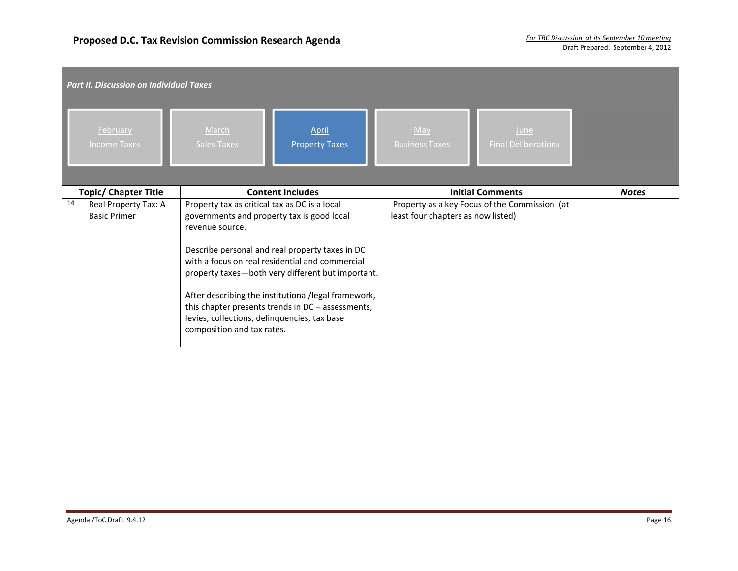|    | <b>Part II. Discussion on Individual Taxes</b> |                                                                                                                                                                                              |                                                                                                                                                                                                                                                                     |                                    |                                               |              |  |  |
|----|------------------------------------------------|----------------------------------------------------------------------------------------------------------------------------------------------------------------------------------------------|---------------------------------------------------------------------------------------------------------------------------------------------------------------------------------------------------------------------------------------------------------------------|------------------------------------|-----------------------------------------------|--------------|--|--|
|    | February<br><b>Income Taxes</b>                | March<br><b>Sales Taxes</b>                                                                                                                                                                  | April<br><b>Property Taxes</b>                                                                                                                                                                                                                                      | May<br><b>Business Taxes</b>       | June<br><b>Final Deliberations</b>            |              |  |  |
|    | <b>Topic/ Chapter Title</b>                    |                                                                                                                                                                                              | <b>Content Includes</b>                                                                                                                                                                                                                                             |                                    | <b>Initial Comments</b>                       | <b>Notes</b> |  |  |
| 14 | Real Property Tax: A<br><b>Basic Primer</b>    | Property tax as critical tax as DC is a local<br>governments and property tax is good local<br>revenue source.<br>levies, collections, delinquencies, tax base<br>composition and tax rates. | Describe personal and real property taxes in DC<br>with a focus on real residential and commercial<br>property taxes-both very different but important.<br>After describing the institutional/legal framework,<br>this chapter presents trends in DC - assessments, | least four chapters as now listed) | Property as a key Focus of the Commission (at |              |  |  |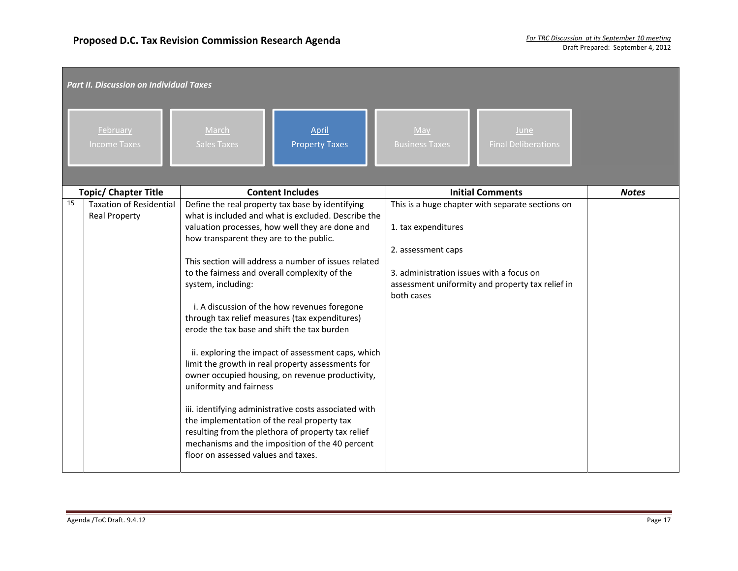|    | <b>Part II. Discussion on Individual Taxes</b>         |                                                                                                                                                                                                                                                                                                                                                                                                                                                                                                                                                                                                                                                                                                                                                                                                                                                                                                                                         |                                                                                                                                                                                                             |              |  |  |  |  |
|----|--------------------------------------------------------|-----------------------------------------------------------------------------------------------------------------------------------------------------------------------------------------------------------------------------------------------------------------------------------------------------------------------------------------------------------------------------------------------------------------------------------------------------------------------------------------------------------------------------------------------------------------------------------------------------------------------------------------------------------------------------------------------------------------------------------------------------------------------------------------------------------------------------------------------------------------------------------------------------------------------------------------|-------------------------------------------------------------------------------------------------------------------------------------------------------------------------------------------------------------|--------------|--|--|--|--|
|    | February<br><b>Income Taxes</b>                        | March<br>April<br><b>Property Taxes</b><br><b>Sales Taxes</b>                                                                                                                                                                                                                                                                                                                                                                                                                                                                                                                                                                                                                                                                                                                                                                                                                                                                           | May<br>June<br><b>Business Taxes</b><br><b>Final Deliberations</b>                                                                                                                                          |              |  |  |  |  |
|    | <b>Topic/ Chapter Title</b>                            | <b>Content Includes</b>                                                                                                                                                                                                                                                                                                                                                                                                                                                                                                                                                                                                                                                                                                                                                                                                                                                                                                                 | <b>Initial Comments</b>                                                                                                                                                                                     | <b>Notes</b> |  |  |  |  |
| 15 | <b>Taxation of Residential</b><br><b>Real Property</b> | Define the real property tax base by identifying<br>what is included and what is excluded. Describe the<br>valuation processes, how well they are done and<br>how transparent they are to the public.<br>This section will address a number of issues related<br>to the fairness and overall complexity of the<br>system, including:<br>i. A discussion of the how revenues foregone<br>through tax relief measures (tax expenditures)<br>erode the tax base and shift the tax burden<br>ii. exploring the impact of assessment caps, which<br>limit the growth in real property assessments for<br>owner occupied housing, on revenue productivity,<br>uniformity and fairness<br>iii. identifying administrative costs associated with<br>the implementation of the real property tax<br>resulting from the plethora of property tax relief<br>mechanisms and the imposition of the 40 percent<br>floor on assessed values and taxes. | This is a huge chapter with separate sections on<br>1. tax expenditures<br>2. assessment caps<br>3. administration issues with a focus on<br>assessment uniformity and property tax relief in<br>both cases |              |  |  |  |  |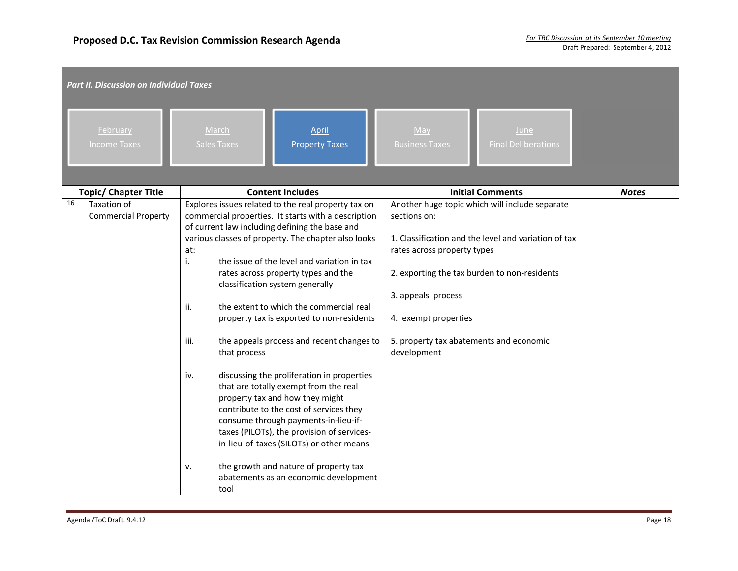| <b>Part II. Discussion on Individual Taxes</b>  |                                                                                                                                                                                                                                                                                                                                                                                                                                                                                                                                                                                                                                                                                                                                                                                                                                                                                                                                     |                                                                                                                                                                                                                                                                                                               |              |  |  |  |
|-------------------------------------------------|-------------------------------------------------------------------------------------------------------------------------------------------------------------------------------------------------------------------------------------------------------------------------------------------------------------------------------------------------------------------------------------------------------------------------------------------------------------------------------------------------------------------------------------------------------------------------------------------------------------------------------------------------------------------------------------------------------------------------------------------------------------------------------------------------------------------------------------------------------------------------------------------------------------------------------------|---------------------------------------------------------------------------------------------------------------------------------------------------------------------------------------------------------------------------------------------------------------------------------------------------------------|--------------|--|--|--|
| February<br><b>Income Taxes</b>                 | March<br>April<br><b>Property Taxes</b><br><b>Sales Taxes</b>                                                                                                                                                                                                                                                                                                                                                                                                                                                                                                                                                                                                                                                                                                                                                                                                                                                                       | May<br>June<br><b>Final Deliberations</b><br><b>Business Taxes</b>                                                                                                                                                                                                                                            |              |  |  |  |
| <b>Topic/ Chapter Title</b>                     | <b>Content Includes</b>                                                                                                                                                                                                                                                                                                                                                                                                                                                                                                                                                                                                                                                                                                                                                                                                                                                                                                             | <b>Initial Comments</b>                                                                                                                                                                                                                                                                                       | <b>Notes</b> |  |  |  |
| 16<br>Taxation of<br><b>Commercial Property</b> | Explores issues related to the real property tax on<br>commercial properties. It starts with a description<br>of current law including defining the base and<br>various classes of property. The chapter also looks<br>at:<br>i.<br>the issue of the level and variation in tax<br>rates across property types and the<br>classification system generally<br>the extent to which the commercial real<br>ii.<br>property tax is exported to non-residents<br>the appeals process and recent changes to<br>iii.<br>that process<br>discussing the proliferation in properties<br>iv.<br>that are totally exempt from the real<br>property tax and how they might<br>contribute to the cost of services they<br>consume through payments-in-lieu-if-<br>taxes (PILOTs), the provision of services-<br>in-lieu-of-taxes (SILOTs) or other means<br>the growth and nature of property tax<br>v.<br>abatements as an economic development | Another huge topic which will include separate<br>sections on:<br>1. Classification and the level and variation of tax<br>rates across property types<br>2. exporting the tax burden to non-residents<br>3. appeals process<br>4. exempt properties<br>5. property tax abatements and economic<br>development |              |  |  |  |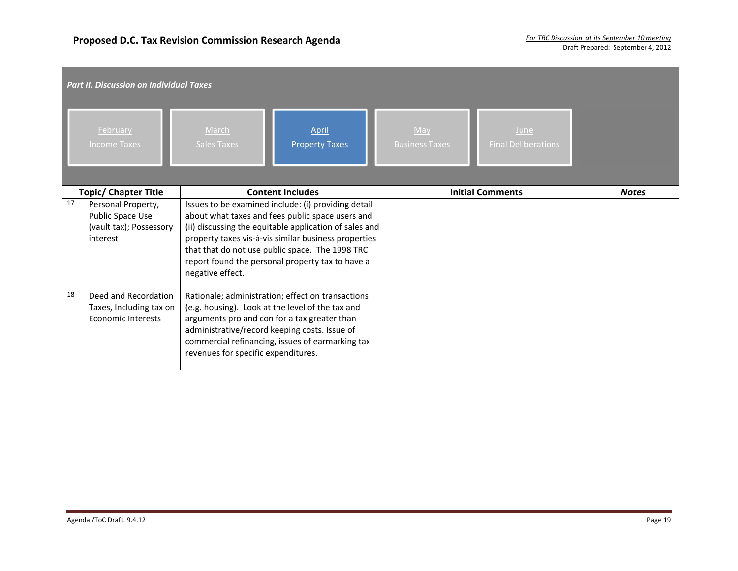|    | <b>Part II. Discussion on Individual Taxes</b>                                |                                                                                                                                                                                                                                                                                                                                                      |                                                                                                                                                                                                                                                            |  |                              |                                    |              |  |
|----|-------------------------------------------------------------------------------|------------------------------------------------------------------------------------------------------------------------------------------------------------------------------------------------------------------------------------------------------------------------------------------------------------------------------------------------------|------------------------------------------------------------------------------------------------------------------------------------------------------------------------------------------------------------------------------------------------------------|--|------------------------------|------------------------------------|--------------|--|
|    | February<br><b>Income Taxes</b>                                               | March<br><b>Sales Taxes</b>                                                                                                                                                                                                                                                                                                                          | April<br><b>Property Taxes</b>                                                                                                                                                                                                                             |  | May<br><b>Business Taxes</b> | June<br><b>Final Deliberations</b> |              |  |
|    | <b>Topic/ Chapter Title</b>                                                   |                                                                                                                                                                                                                                                                                                                                                      | <b>Content Includes</b>                                                                                                                                                                                                                                    |  |                              | <b>Initial Comments</b>            | <b>Notes</b> |  |
| 17 | Personal Property,<br>Public Space Use<br>(vault tax); Possessory<br>interest | Issues to be examined include: (i) providing detail<br>about what taxes and fees public space users and<br>(ii) discussing the equitable application of sales and<br>property taxes vis-à-vis similar business properties<br>that that do not use public space. The 1998 TRC<br>report found the personal property tax to have a<br>negative effect. |                                                                                                                                                                                                                                                            |  |                              |                                    |              |  |
| 18 | Deed and Recordation<br>Taxes, Including tax on<br><b>Economic Interests</b>  | revenues for specific expenditures.                                                                                                                                                                                                                                                                                                                  | Rationale; administration; effect on transactions<br>(e.g. housing). Look at the level of the tax and<br>arguments pro and con for a tax greater than<br>administrative/record keeping costs. Issue of<br>commercial refinancing, issues of earmarking tax |  |                              |                                    |              |  |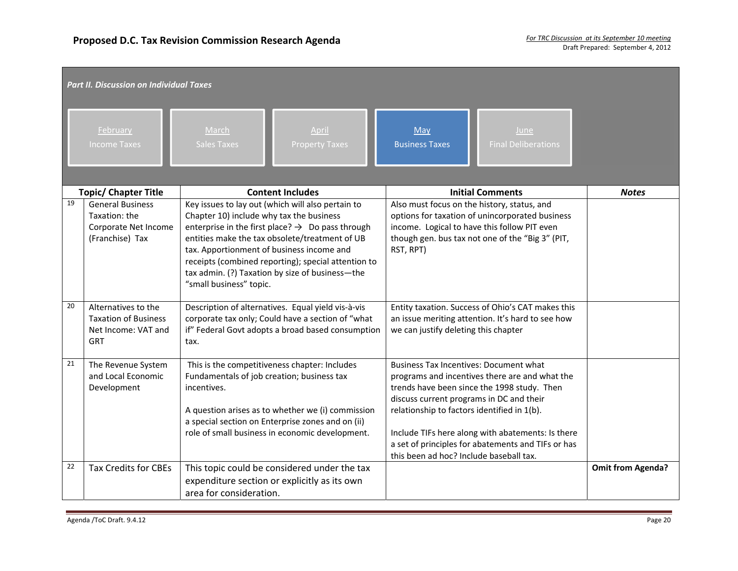| <b>Part II. Discussion on Individual Taxes</b> |                                                                                         |                                                                                                                                                                                                                                                                                                                                                                                                   |                                                                                                                                                                                                                                                                                                                                                                                                 |                          |  |  |  |
|------------------------------------------------|-----------------------------------------------------------------------------------------|---------------------------------------------------------------------------------------------------------------------------------------------------------------------------------------------------------------------------------------------------------------------------------------------------------------------------------------------------------------------------------------------------|-------------------------------------------------------------------------------------------------------------------------------------------------------------------------------------------------------------------------------------------------------------------------------------------------------------------------------------------------------------------------------------------------|--------------------------|--|--|--|
|                                                | February<br><b>Income Taxes</b>                                                         | March<br>April<br><b>Sales Taxes</b><br><b>Property Taxes</b>                                                                                                                                                                                                                                                                                                                                     | May<br>June<br><b>Business Taxes</b><br><b>Final Deliberations</b>                                                                                                                                                                                                                                                                                                                              |                          |  |  |  |
|                                                | <b>Topic/ Chapter Title</b>                                                             | <b>Content Includes</b>                                                                                                                                                                                                                                                                                                                                                                           | <b>Initial Comments</b>                                                                                                                                                                                                                                                                                                                                                                         | <b>Notes</b>             |  |  |  |
| 19                                             | <b>General Business</b><br>Taxation: the<br>Corporate Net Income<br>(Franchise) Tax     | Key issues to lay out (which will also pertain to<br>Chapter 10) include why tax the business<br>enterprise in the first place? $\rightarrow$ Do pass through<br>entities make the tax obsolete/treatment of UB<br>tax. Apportionment of business income and<br>receipts (combined reporting); special attention to<br>tax admin. (?) Taxation by size of business-the<br>"small business" topic. | Also must focus on the history, status, and<br>options for taxation of unincorporated business<br>income. Logical to have this follow PIT even<br>though gen. bus tax not one of the "Big 3" (PIT,<br>RST, RPT)                                                                                                                                                                                 |                          |  |  |  |
| 20                                             | Alternatives to the<br><b>Taxation of Business</b><br>Net Income: VAT and<br><b>GRT</b> | Description of alternatives. Equal yield vis-à-vis<br>corporate tax only; Could have a section of "what<br>if" Federal Govt adopts a broad based consumption<br>tax.                                                                                                                                                                                                                              | Entity taxation. Success of Ohio's CAT makes this<br>an issue meriting attention. It's hard to see how<br>we can justify deleting this chapter                                                                                                                                                                                                                                                  |                          |  |  |  |
| 21                                             | The Revenue System<br>and Local Economic<br>Development                                 | This is the competitiveness chapter: Includes<br>Fundamentals of job creation; business tax<br>incentives.<br>A question arises as to whether we (i) commission<br>a special section on Enterprise zones and on (ii)<br>role of small business in economic development.                                                                                                                           | <b>Business Tax Incentives: Document what</b><br>programs and incentives there are and what the<br>trends have been since the 1998 study. Then<br>discuss current programs in DC and their<br>relationship to factors identified in 1(b).<br>Include TIFs here along with abatements: Is there<br>a set of principles for abatements and TIFs or has<br>this been ad hoc? Include baseball tax. |                          |  |  |  |
| 22                                             | <b>Tax Credits for CBEs</b>                                                             | This topic could be considered under the tax<br>expenditure section or explicitly as its own<br>area for consideration.                                                                                                                                                                                                                                                                           |                                                                                                                                                                                                                                                                                                                                                                                                 | <b>Omit from Agenda?</b> |  |  |  |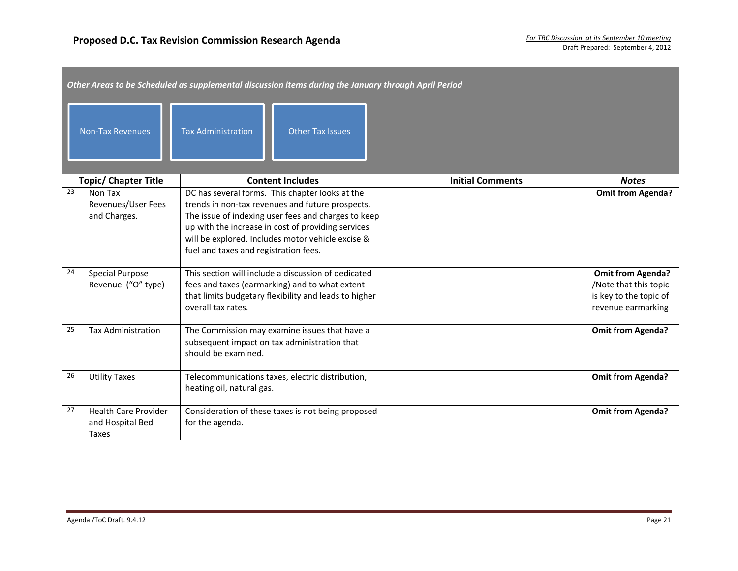| Other Areas to be Scheduled as supplemental discussion items during the January through April Period |                                                          |                                                                                                                                                                                                                                                                                                                |                         |                                                                                                  |  |  |  |
|------------------------------------------------------------------------------------------------------|----------------------------------------------------------|----------------------------------------------------------------------------------------------------------------------------------------------------------------------------------------------------------------------------------------------------------------------------------------------------------------|-------------------------|--------------------------------------------------------------------------------------------------|--|--|--|
| <b>Non-Tax Revenues</b><br><b>Tax Administration</b><br><b>Other Tax Issues</b>                      |                                                          |                                                                                                                                                                                                                                                                                                                |                         |                                                                                                  |  |  |  |
|                                                                                                      | <b>Topic/ Chapter Title</b>                              | <b>Content Includes</b>                                                                                                                                                                                                                                                                                        | <b>Initial Comments</b> | <b>Notes</b>                                                                                     |  |  |  |
| 23                                                                                                   | Non Tax<br>Revenues/User Fees<br>and Charges.            | DC has several forms. This chapter looks at the<br>trends in non-tax revenues and future prospects.<br>The issue of indexing user fees and charges to keep<br>up with the increase in cost of providing services<br>will be explored. Includes motor vehicle excise &<br>fuel and taxes and registration fees. |                         | <b>Omit from Agenda?</b>                                                                         |  |  |  |
| 24                                                                                                   | <b>Special Purpose</b><br>Revenue ("O" type)             | This section will include a discussion of dedicated<br>fees and taxes (earmarking) and to what extent<br>that limits budgetary flexibility and leads to higher<br>overall tax rates.                                                                                                                           |                         | <b>Omit from Agenda?</b><br>Note that this topic<br>is key to the topic of<br>revenue earmarking |  |  |  |
| 25                                                                                                   | <b>Tax Administration</b>                                | The Commission may examine issues that have a<br>subsequent impact on tax administration that<br>should be examined.                                                                                                                                                                                           |                         | <b>Omit from Agenda?</b>                                                                         |  |  |  |
| 26                                                                                                   | <b>Utility Taxes</b>                                     | Telecommunications taxes, electric distribution,<br>heating oil, natural gas.                                                                                                                                                                                                                                  |                         | <b>Omit from Agenda?</b>                                                                         |  |  |  |
| 27                                                                                                   | <b>Health Care Provider</b><br>and Hospital Bed<br>Taxes | Consideration of these taxes is not being proposed<br>for the agenda.                                                                                                                                                                                                                                          |                         | <b>Omit from Agenda?</b>                                                                         |  |  |  |